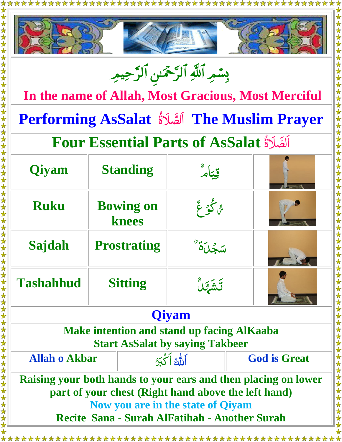



بِسْمِرِ اللَّهِ الرَّحْمَٰنِ الرَّحِيمِرِ ֧֚֝<br>֧֚֝<br>֚֚֚

**In the name of Allah, Most Gracious, Most Merciful**

**Performing AsSalat** ل ص ا ة لَ **The Muslim Prayer**  $\ddot{\phantom{a}}$ 

## اَلصَّلاَةُ **Four Essential Parts of AsSalat**  $\ddot{c}$

女女女女女女女女女女女女女女女女女女女女女女女女女女女女女女女女女女

女女女女女女女女女女女女女女女女女女女女女女女

| <b>Qiyam</b>     | <b>Standing</b>           | قِيَامَ |  |
|------------------|---------------------------|---------|--|
| <b>Ruku</b>      | <b>Bowing on</b><br>knees | ه گو عٌ |  |
| Sajdah           | <b>Prostrating</b>        |         |  |
| <b>Tashahhud</b> | <b>Sitting</b>            |         |  |

## **Qiyam**

**Make intention and stand up facing AlKaaba Start AsSalat by saying Takbeer**

| <b>Allah o Akbar</b>                                           | ألله أكحبو                                          | <b>God is Great</b> |
|----------------------------------------------------------------|-----------------------------------------------------|---------------------|
| Raising your both hands to your ears and then placing on lower |                                                     |                     |
|                                                                | part of your chest (Right hand above the left hand) |                     |
|                                                                | Now you are in the state of Qiyam                   |                     |
|                                                                | Recite Sana - Surah AlFatihah - Another Surah       |                     |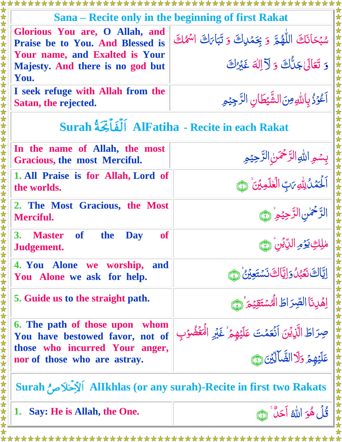| Sana – Recite only in the beginning of first Rakat                               |                                                                                                         |  |  |  |
|----------------------------------------------------------------------------------|---------------------------------------------------------------------------------------------------------|--|--|--|
| Glorious You are, O Allah, and<br>Praise be to You. And Blessed is               | سُبْحَانَكَ اللَّهُمَّ وَبِحَمْدِكَ وَتَبَاىَكَ اسْمُكَ                                                 |  |  |  |
| Your name, and Exalted is Your                                                   | وَ تَعَالَىٰ جَلُّكَ وَ لَأَ إِلٰهَ غَيْرُكَ                                                            |  |  |  |
| Majesty. And there is no god but<br>You.                                         |                                                                                                         |  |  |  |
| I seek refuge with Allah from the                                                |                                                                                                         |  |  |  |
| Satan, the rejected.                                                             | أَعْوَذُ بِاللَّهِ مِنَ الشَّيْطَانِ الرَّجِيْمِ                                                        |  |  |  |
| Surah أَلْفَأَتِّحَةُ AlFatiha - Recite in each Rakat                            |                                                                                                         |  |  |  |
| In the name of Allah, the most<br>Gracious, the most Merciful.                   | بِسُمِ اللَّهِ الرَّحْمَنِ الرَّحِيْمِ                                                                  |  |  |  |
| 1. All Praise is for Allah, Lord of<br>the worlds.                               | اَلْحَمَٰلُ لِلَّهِ مَبِّ الْعٰلَمِينَ ۚ ١                                                              |  |  |  |
| 2. The Most Gracious, the Most<br><b>Merciful.</b>                               | الرَّحْمٰنِ الرَّحِيْمِ ۚ (حَيَّ                                                                        |  |  |  |
| <b>3.</b><br>the<br><b>Master</b><br><b>of</b><br><b>of</b><br>Day<br>Judgement. | ملك يَوْمِ اللَّايُن رَحَ                                                                               |  |  |  |
| 4. You Alone we worship, and<br>You Alone we ask for help.                       | إِيَّاكَ نَعَبُلُوَإِيَّاكَ نَسْتَعِيْنُ ۚ لَمَّ                                                        |  |  |  |
| 5. Guide us to the straight path.                                                | اِهَٰٓبِنَا الصِّرَاطَ الْهُسْتَقِيْمَ ۚ لَّ                                                            |  |  |  |
| 6. The path of those upon whom<br>You have bestowed favor, not of                | صِرَاطَ الَّذِيْنَ اَنْعَمْتَ عَلَيْهِمْ ٰ غَيْرِ الْهَغْمُوْبِ<br>عَلَيْهِمْ وَلَا الضَّالِّيْنَ هِيَّ |  |  |  |
| those who incurred Your anger,<br>nor of those who are astray.                   |                                                                                                         |  |  |  |
| Surah أَلْأَخْلَاصِ ُ Allkhlas (or any surah)-Recite in first two Rakats         |                                                                                                         |  |  |  |
| 1. Say: He is Allah, the One.                                                    | قُلُ هُوَ اللَّهُ أَحَلٌ ۚ ۞                                                                            |  |  |  |
|                                                                                  |                                                                                                         |  |  |  |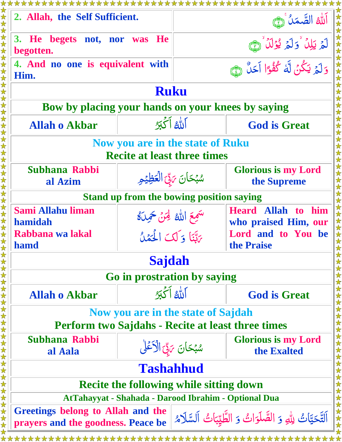| 2. Allah, the Self Sufficient.                                                                                                               |  |                                           | الله الصَّمَلُ هَي                                |  |  |  |
|----------------------------------------------------------------------------------------------------------------------------------------------|--|-------------------------------------------|---------------------------------------------------|--|--|--|
| 3. He begets not, nor was He<br>begotten.                                                                                                    |  |                                           | لَّهُ يَلِلُّ وَلَمُ يُؤَلِّلُ تَبَيَّ            |  |  |  |
| 4. And no one is equivalent with<br>Him.                                                                                                     |  | وَلَمُ يَكُنُ لَّهُ كُفُوًا أَحَلُّ رَبِّ |                                                   |  |  |  |
| <b>Ruku</b>                                                                                                                                  |  |                                           |                                                   |  |  |  |
| Bow by placing your hands on your knees by saying                                                                                            |  |                                           |                                                   |  |  |  |
| <b>Allah o Akbar</b>                                                                                                                         |  | ألله أكجبو                                | <b>God is Great</b>                               |  |  |  |
| <b>Now you are in the state of Ruku</b><br><b>Recite at least three times</b>                                                                |  |                                           |                                                   |  |  |  |
| Subhana Rabbi<br>al Azim                                                                                                                     |  | سُبْحَانَ 5قِّ الْعَظِيْمِ                | <b>Glorious is my Lord</b><br>the Supreme         |  |  |  |
| <b>Stand up from the bowing position saying</b>                                                                                              |  |                                           |                                                   |  |  |  |
| <b>Sami Allahu liman</b><br>hamidah                                                                                                          |  | سَمِعَ اللَّهُ لَحِنٌ حَمِيلَهُ           | <b>Heard Allah to him</b><br>who praised Him, our |  |  |  |
| Rabbana wa lakal<br>hamd                                                                                                                     |  | يَاتِنَا وَلَكَ الْحَمْلُ                 | Lord and to You be<br>the Praise                  |  |  |  |
|                                                                                                                                              |  | <b>Sajdah</b>                             |                                                   |  |  |  |
|                                                                                                                                              |  | Go in prostration by saying               |                                                   |  |  |  |
| <b>Allah o Akbar</b>                                                                                                                         |  | اَللَّهُ أَكْبَرُ                         | <b>God is Great</b>                               |  |  |  |
| Now you are in the state of Sajdah<br><b>Perform two Sajdahs - Recite at least three times</b>                                               |  |                                           |                                                   |  |  |  |
| Subhana Rabbi<br>al Aala                                                                                                                     |  | سُبُحَانَ 5لِّ الْأَعْلَى                 | <b>Glorious is my Lord</b><br>the Exalted         |  |  |  |
| <b>Tashahhud</b>                                                                                                                             |  |                                           |                                                   |  |  |  |
| <b>Recite the following while sitting down</b>                                                                                               |  |                                           |                                                   |  |  |  |
| AtTahayyat - Shahada - Darood Ibrahim - Optional Dua                                                                                         |  |                                           |                                                   |  |  |  |
| Greetings belong to Allah and the<br>اَلتَّحَيَّاتُ لِلهِ وَ الصَّلَوَاتُ وَ الطَّيِّبَاتُ اَلسَّلَامُ<br>prayers and the goodness. Peace be |  |                                           |                                                   |  |  |  |